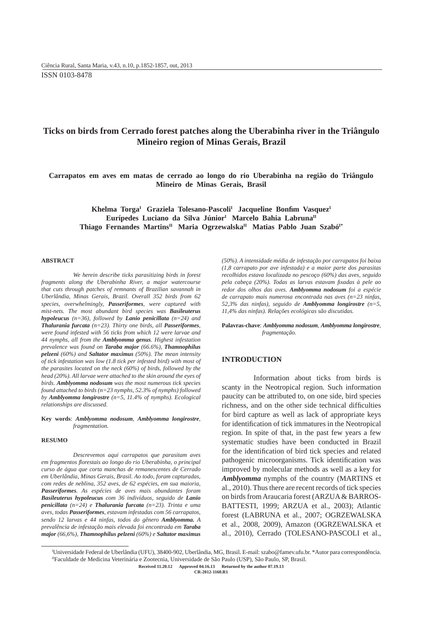# **Ticks on birds from Cerrado forest patches along the Uberabinha river in the Triângulo Mineiro region of Minas Gerais, Brazil**

**Carrapatos em aves em matas de cerrado ao longo do rio Uberabinha na região do Triângulo Mineiro de Minas Gerais, Brasil**

Khelma Torga<sup>I</sup> Graziela Tolesano-Pascoli<sup>I</sup> Jacqueline Bonfim Vasquez<sup>I</sup> Eurípedes Luciano da Silva Júnior<sup>I</sup> Marcelo Bahia Labruna<sup>II</sup> Thiago Fernandes Martins<sup>II</sup> Maria Ogrzewalska<sup>II</sup> Matias Pablo Juan Szabó<sup>I\*</sup>

#### **ABSTRACT**

*We herein describe ticks parasitizing birds in forest fragments along the Uberabinha River, a major watercourse that cuts through patches of remnants of Brazilian savannah in Uberlândia, Minas Gerais, Brazil. Overall 352 birds from 62 species, overwhelmingly, Passeriformes, were captured with mist-nets. The most abundant bird species was Basileuterus hypoleucus (n=36), followed by Lanio penicillata (n=24) and Thalurania furcata (n=23). Thirty one birds, all Passeriformes, were found infested with 56 ticks from which 12 were larvae and 44 nymphs, all from the Amblyomma genus. Highest infestation prevalence was found on Taraba major (66.6%), Thamnophilus pelzeni (60%) and Saltator maximus (50%). The mean intensity of tick infestation was low (1.8 tick per infested bird) with most of the parasites located on the neck (60%) of birds, followed by the head (20%). All larvae were attached to the skin around the eyes of birds. Amblyomma nodosum was the most numerous tick species found attached to birds (n=23 nymphs, 52.3% of nymphs) followed by Amblyomma longirostre (n=5, 11.4% of nymphs). Ecological relationships are discussed.*

#### **Key words**: *Amblyomma nodosum, Amblyomma longirostre, fragmentation.*

#### **RESUMO**

*Descrevemos aqui carrapatos que parasitam aves em fragmentos fl orestais ao longo do rio Uberabinha, o principal curso de água que corta manchas de remanescentes de Cerrado em Uberlândia, Minas Gerais, Brasil. Ao todo, foram capturadas, com redes de neblina, 352 aves, de 62 espécies, em sua maioria, Passeriformes. As espécies de aves mais abundantes foram Basileuterus hypoleucus com 36 indivíduos, seguido de Lanio penicillata (n=24) e Thalurania furcata (n=23). Trinta e uma aves, todas Passeriformes, estavam infestadas com 56 carrapatos, sendo 12 larvas e 44 ninfas, todos do gênero Amblyomma. A prevalência de infestação mais elevada foi encontrada em Taraba major (66,6%), Thamnophilus pelzeni (60%) e Saltator maximus*

*(50%). A intensidade média de infestação por carrapatos foi baixa (1,8 carrapato por ave infestada) e a maior parte dos parasitas recolhidos estava localizada no pescoço (60%) das aves, seguido pela cabeça (20%). Todas as larvas estavam fi xadas à pele ao redor dos olhos das aves. Amblyomma nodosum foi a espécie de carrapato mais numerosa encontrada nas aves (n=23 ninfas, 52,3% das ninfas), seguido de Amblyomma longirostre (n=5, 11,4% das ninfas). Relações ecológicas são discutidas.*

**Palavras-chave**: *Amblyomma nodosum, Amblyomma longirostre, fragmentação.*

## **INTRODUCTION**

Information about ticks from birds is scanty in the Neotropical region. Such information paucity can be attributed to, on one side, bird species richness, and on the other side technical difficulties for bird capture as well as lack of appropriate keys for identification of tick immatures in the Neotropical region. In spite of that, in the past few years a few systematic studies have been conducted in Brazil for the identification of bird tick species and related pathogenic microorganisms. Tick identification was improved by molecular methods as well as a key for *Amblyomma* nymphs of the country (MARTINS et al., 2010). Thus there are recent records of tick species on birds from Araucaria forest (ARZUA & BARROS-BATTESTI, 1999; ARZUA et al., 2003); Atlantic forest (LABRUNA et al., 2007; OGRZEWALSKA et al., 2008, 2009), Amazon (OGRZEWALSKA et al., 2010), Cerrado (TOLESANO-PASCOLI et al.,

I Universidade Federal de Uberlândia (UFU), 38400-902, Uberlândia, MG, Brasil. E-mail: szabo@famev.ufu.br. \*Autor para correspondência. IIFaculdade de Medicina Veterinária e Zootecnia, Universidade de São Paulo (USP), São Paulo, SP, Brasil.

**Ciência Rural, v.43, n.10, out, 2013. Received 11.20.12 Approved 04.16.13 Returned by the author 07.19.13**

**CR-2012-1160.R1**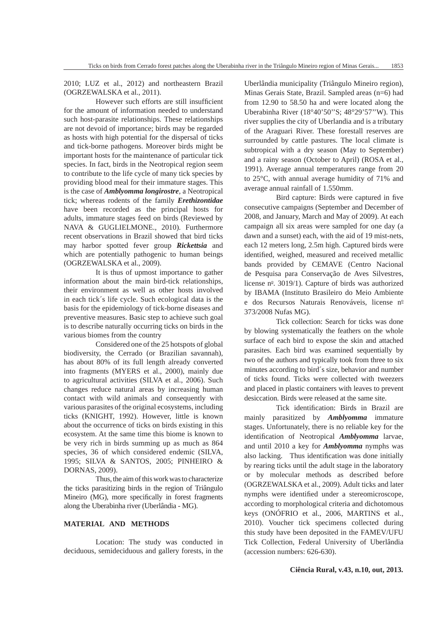2010; LUZ et al., 2012) and northeastern Brazil (OGRZEWALSKA et al., 2011).

However such efforts are still insufficient for the amount of information needed to understand such host-parasite relationships. These relationships are not devoid of importance; birds may be regarded as hosts with high potential for the dispersal of ticks and tick-borne pathogens. Moreover birds might be important hosts for the maintenance of particular tick species. In fact, birds in the Neotropical region seem to contribute to the life cycle of many tick species by providing blood meal for their immature stages. This is the case of *Amblyomma longirostre*, a Neotropical tick; whereas rodents of the family *Erethizontidae* have been recorded as the principal hosts for adults, immature stages feed on birds (Reviewed by NAVA & GUGLIELMONE., 2010). Furthermore recent observations in Brazil showed that bird ticks may harbor spotted fever group *Rickettsia* and which are potentially pathogenic to human beings (OGRZEWALSKA et al., 2009).

It is thus of upmost importance to gather information about the main bird-tick relationships, their environment as well as other hosts involved in each tick´s life cycle. Such ecological data is the basis for the epidemiology of tick-borne diseases and preventive measures. Basic step to achieve such goal is to describe naturally occurring ticks on birds in the various biomes from the country

Considered one of the 25 hotspots of global biodiversity, the Cerrado (or Brazilian savannah), has about 80% of its full length already converted into fragments (MYERS et al., 2000), mainly due to agricultural activities (SILVA et al., 2006). Such changes reduce natural areas by increasing human contact with wild animals and consequently with various parasites of the original ecosystems, including ticks (KNIGHT, 1992). However, little is known about the occurrence of ticks on birds existing in this ecosystem. At the same time this biome is known to be very rich in birds summing up as much as 864 species, 36 of which considered endemic (SILVA, 1995; SILVA & SANTOS, 2005; PINHEIRO & DORNAS, 2009).

Thus, the aim of this work was to characterize the ticks parasitizing birds in the region of Triângulo Mineiro (MG), more specifically in forest fragments along the Uberabinha river (Uberlândia - MG).

# **MATERIAL AND METHODS**

Location: The study was conducted in deciduous, semideciduous and gallery forests, in the Uberlândia municipality (Triângulo Mineiro region), Minas Gerais State, Brazil. Sampled areas (n=6) had from 12.90 to 58.50 ha and were located along the Uberabinha River (18°40'50''S; 48°29'57''W). This river supplies the city of Uberlandia and is a tributary of the Araguari River. These forestall reserves are surrounded by cattle pastures. The local climate is subtropical with a dry season (May to September) and a rainy season (October to April) (ROSA et al., 1991). Average annual temperatures range from 20 to 25°C, with annual average humidity of 71% and average annual rainfall of 1.550mm.

Bird capture: Birds were captured in five consecutive campaigns (September and December of 2008, and January, March and May of 2009). At each campaign all six areas were sampled for one day (a dawn and a sunset) each, with the aid of 19 mist-nets, each 12 meters long, 2.5m high. Captured birds were identified, weighed, measured and received metallic bands provided by CEMAVE (Centro Nacional de Pesquisa para Conservação de Aves Silvestres, license  $n^{\circ}$ . 3019/1). Capture of birds was authorized by IBAMA (Instituto Brasileiro do Meio Ambiente e dos Recursos Naturais Renováveis, license nº 373/2008 Nufas MG).

Tick collection: Search for ticks was done by blowing systematically the feathers on the whole surface of each bird to expose the skin and attached parasites. Each bird was examined sequentially by two of the authors and typically took from three to six minutes according to bird´s size, behavior and number of ticks found. Ticks were collected with tweezers and placed in plastic containers with leaves to prevent desiccation. Birds were released at the same site.

Tick identification: Birds in Brazil are mainly parasitized by *Amblyomma* immature stages. Unfortunately, there is no reliable key for the identification of Neotropical *Amblyomma* larvae, and until 2010 a key for *Amblyomma* nymphs was also lacking. Thus identification was done initially by rearing ticks until the adult stage in the laboratory or by molecular methods as described before (OGRZEWALSKA et al., 2009). Adult ticks and later nymphs were identified under a stereomicroscope, according to morphological criteria and dichotomous keys (ONÓFRIO et al., 2006, MARTINS et al., 2010). Voucher tick specimens collected during this study have been deposited in the FAMEV/UFU Tick Collection, Federal University of Uberlândia (accession numbers: 626-630).

## **Ciência Rural, v.43, n.10, out, 2013.**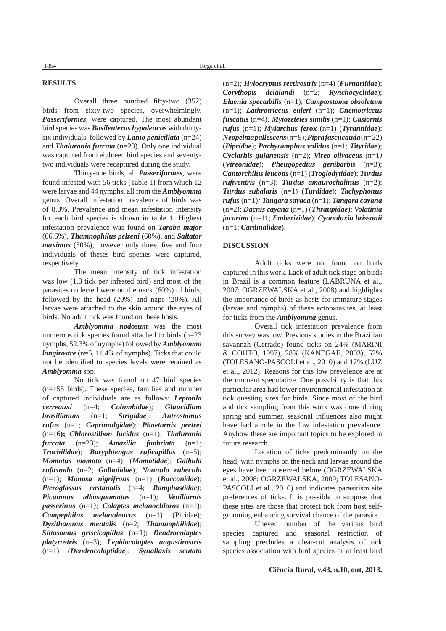## **RESULTS**

Overall three hundred fifty-two (352) birds from sixty-two species, overwhelmingly, *Passeriformes*, were captured. The most abundant bird species was *Basileuterus hypoleucus* with thirtysix individuals, followed by *Lanio penicillata* (n=24) and *Thalurania furcata* (n=23). Only one individual was captured from eighteen bird species and seventytwo individuals were recaptured during the study.

Thirty-one birds, all *Passeriformes*, were found infested with 56 ticks (Table 1) from which 12 were larvae and 44 nymphs, all from the *Amblyomma* genus. Overall infestation prevalence of birds was of 8.8%. Prevalence and mean infestation intensity for each bird species is shown in table 1. Highest infestation prevalence was found on *Taraba major* (66.6%), *Thamnophilus pelzeni* (60%), and *Saltator maximus* (50%), however only three, five and four individuals of theses bird species were captured, respectively.

The mean intensity of tick infestation was low (1.8 tick per infested bird) and most of the parasites collected were on the neck (60%) of birds, followed by the head (20%) and nape (20%). All larvae were attached to the skin around the eyes of birds. No adult tick was found on these hosts.

*Amblyomma nodosum* was the most numerous tick species found attached to birds (n=23 nymphs, 52.3% of nymphs) followed by *Amblyomma longirostre* (n=5, 11.4% of nymphs). Ticks that could not be identified to species levels were retained as *Amblyomma* spp.

No tick was found on 47 bird species (n=155 birds). These species, families and number of captured individuals are as follows: *Leptotila verreauxi* (n=4; *Columbidae*)*; Glaucidium brasilianum* (n=1; *Strigidae*); *Antrostomus rufus* (n=1; *Caprimulgidae*); *Phaetornis pretrei* (n=16**);** *Chlorostilbon lucidus* (n=1); *Thalurania*   $furcata$   $(n=23)$ ; *Amazilia fimbriata*  $(n=1)$ ; *Trochilidae*); *Baryphtengus ruficapillus*  $(n=5)$ ; *Momotus momota* (n=4); (*Momotidae*); *Galbula rufi cauda* (n=2; *Galbulidae*); *Nonnula rubecula* (n=1); *Monasa nigrifrons* (n=1) (*Bucconidae*); *Pteroglossus castanotis* (n=4; *Ramphastidae*); *Picumnus albosquamatus* (n=1)*; Veniliornis passerinus* (n=1*); Colaptes melanochloros* (n=1); *Campephilus melanoleucus* (n=1) (Picidae); *Dysithamnus mentalis* (n=2; *Thamnophilidae*); *Sittasomus griseicapillus* (n=1); *Dendrocolaptes platyrostris* (n=3); *Lepidocolaptes angustirostris* (n=1) (*Dendrocolaptidae*); *Synallaxis scutata*

(n=2)*; Hylocryptus rectirostris* (n=4) (*Furnariidae*); *Corythopis delalandi* (n=2; *Rynchocyclidae*); *Elaenia spectabilis* (n=1); *Camptostoma obsoletum* (n=1); *Lathrotriccus euleri* (n=1); *Cnemotriccus fuscatus* (n=4)*; Myiozetetes similis* (n=1); *Casiornis rufus* (n=1); *Myiarchus ferox* (n=1) (*Tyrannidae*); *Neopelma pallescens*(n= 9)*; Pipra fasciicauda*(n= 22) (*Pipridae*); *Pachyramphus validus* (n=1; *Tityridae*); *Cyclarhis gujanensis* (n=2); *Vireo olivaceus* (n=1*)*  (*Vireonidae*); *Pheugopedius genibarbis* (n=3); *Cantorchilus leucotis* (n=1) (*Troglodytidae*); *Turdus rufiventris* (n=3); *Turdus amaurochalinus* (n=2); *Turdus subalaris* (n=1) (*Turdidae*); *Tachyphonus rufus* (n=1)*; Tangara sayaca* (n=1); *Tangara cayana* (n=2); *Dacnis cayana* (n=1) (*Thraupidae*); *Volatinia jacarina* (n=11; *Emberizidae*); *Cyanoloxia brissonii*  (n=1; *Cardinalidae*).

## **DISCUSSION**

Adult ticks were not found on birds captured in this work. Lack of adult tick stage on birds in Brazil is a common feature (LABRUNA et al., 2007; OGRZEWALSKA et al., 2008) and highlights the importance of birds as hosts for immature stages (larvae and nymphs) of these ectoparasites, at least for ticks from the *Amblyomma* genus.

Overall tick infestation prevalence from this survey was low. Previous studies in the Brazilian savannah (Cerrado) found ticks on 24% (MARINI & COUTO, 1997), 28% (KANEGAE, 2003), 52% (TOLESANO-PASCOLI et al., 2010) and 17% (LUZ et al., 2012). Reasons for this low prevalence are at the moment speculative. One possibility is that this particular area had lower environmental infestation at tick questing sites for birds. Since most of the bird and tick sampling from this work was done during spring and summer, seasonal influences also might have had a role in the low infestation prevalence. Anyhow these are important topics to be explored in future research.

Location of ticks predominantly on the head, with nymphs on the neck and larvae around the eyes have been observed before (OGRZEWALSKA et al., 2008; OGRZEWALSKA, 2009; TOLESANO-PASCOLI et al., 2010) and indicates parasitism site preferences of ticks. It is possible to suppose that these sites are those that protect tick from host selfgrooming enhancing survival chance of the parasite.

Uneven number of the various bird species captured and seasonal restriction of sampling precludes a clear-cut analysis of tick species association with bird species or at least bird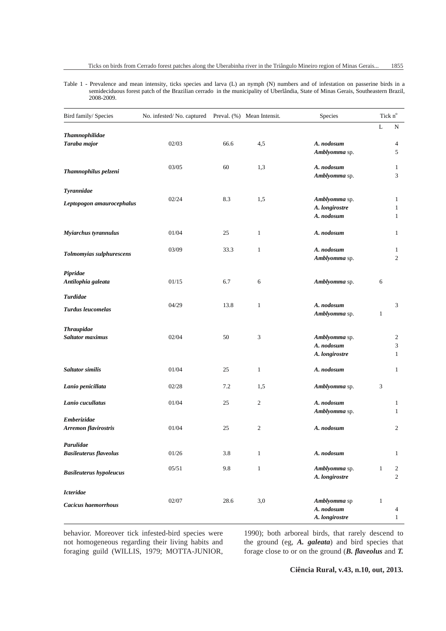Table 1 - Prevalence and mean intensity, ticks species and larva (L) an nymph (N) numbers and of infestation on passerine birds in a semideciduous forest patch of the Brazilian cerrado in the municipality of Uberlândia, State of Minas Gerais, Southeastern Brazil, 2008-2009.

| Bird family/ Species           | No. infested/No. captured Preval. (%) Mean Intensit. |      |                | Species        | Tick n°      |                |
|--------------------------------|------------------------------------------------------|------|----------------|----------------|--------------|----------------|
|                                |                                                      |      |                |                | $\mathbf L$  | N              |
| Thamnophilidae                 |                                                      |      |                |                |              |                |
| Taraba major                   | 02/03                                                | 66.6 | 4,5            | A. nodosum     |              | 4              |
|                                |                                                      |      |                | Amblyomma sp.  |              | 5              |
|                                | 03/05                                                | 60   | 1,3            | A. nodosum     |              | 1              |
| Thamnophilus pelzeni           |                                                      |      |                | Amblyomma sp.  |              | 3              |
| Tyrannidae                     |                                                      |      |                |                |              |                |
|                                | 02/24                                                | 8.3  | 1,5            | Amblyomma sp.  |              | 1              |
| Leptopogon amaurocephalus      |                                                      |      |                | A. longirostre |              | $\mathbf{1}$   |
|                                |                                                      |      |                | A. nodosum     |              | 1              |
| Myiarchus tyrannulus           | 01/04                                                | 25   | $\mathbf{1}$   | A. nodosum     |              | 1              |
|                                |                                                      |      |                |                |              |                |
| Tolmomyias sulphurescens       | 03/09                                                | 33.3 | $\mathbf{1}$   | A. nodosum     |              | $\mathbf{1}$   |
|                                |                                                      |      |                | Amblyomma sp.  |              | $\overline{c}$ |
| Pipridae                       |                                                      |      |                |                |              |                |
| Antilophia galeata             | 01/15                                                | 6.7  | $\sqrt{6}$     | Amblyomma sp.  | 6            |                |
| <b>Turdidae</b>                |                                                      |      |                |                |              |                |
| <b>Turdus leucomelas</b>       | 04/29                                                | 13.8 | $\mathbf{1}$   | A. nodosum     |              | 3              |
|                                |                                                      |      |                | Amblyomma sp.  | $\mathbf{1}$ |                |
| <b>Thraupidae</b>              |                                                      |      |                |                |              |                |
| <b>Saltator maximus</b>        | 02/04                                                | 50   | 3              | Amblyomma sp.  |              | 2              |
|                                |                                                      |      |                | A. nodosum     |              | 3              |
|                                |                                                      |      |                | A. longirostre |              | $\mathbf{1}$   |
| <b>Saltator similis</b>        | 01/04                                                | 25   | $\mathbf{1}$   | A. nodosum     |              | 1              |
| Lanio penicillata              | 02/28                                                | 7.2  | 1,5            | Amblyomma sp.  | 3            |                |
|                                |                                                      |      |                |                |              |                |
| Lanio cucullatus               | 01/04                                                | 25   | 2              | A. nodosum     |              | 1              |
| Emberizidae                    |                                                      |      |                | Amblyomma sp.  |              | 1              |
| Arremon flavirostris           | 01/04                                                | 25   | $\overline{c}$ | A. nodosum     |              | 2              |
|                                |                                                      |      |                |                |              |                |
| Parulidae                      |                                                      |      |                |                |              |                |
| <b>Basileuterus flaveolus</b>  | 01/26                                                | 3.8  | $\,1$          | A. nodosum     |              | 1              |
| <b>Basileuterus hypoleucus</b> | 05/51                                                | 9.8  | $\mathbf{1}$   | Amblyomma sp.  | $\mathbf{1}$ | 2              |
|                                |                                                      |      |                | A. longirostre |              | 2              |
| <b>Icteridae</b>               |                                                      |      |                |                |              |                |
| <b>Cacicus haemorrhous</b>     | 02/07                                                | 28.6 | 3,0            | Amblyomma sp   | $\mathbf{1}$ |                |
|                                |                                                      |      |                | A. nodosum     |              | 4              |
|                                |                                                      |      |                | A. longirostre |              | $\mathbf{1}$   |

behavior. Moreover tick infested-bird species were not homogeneous regarding their living habits and foraging guild (WILLIS, 1979; MOTTA-JUNIOR,

1990); both arboreal birds, that rarely descend to the ground (eg, *A. galeata*) and bird species that forage close to or on the ground (*B. flaveolus* and *T.* 

**Ciência Rural, v.43, n.10, out, 2013.**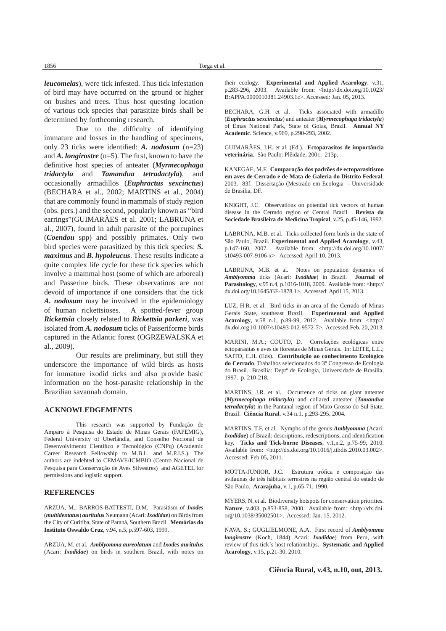*leucomelas*), were tick infested. Thus tick infestation of bird may have occurred on the ground or higher on bushes and trees. Thus host questing location of various tick species that parasitize birds shall be determined by forthcoming research.

Due to the difficulty of identifying immature and losses in the handling of specimens, only 23 ticks were identified: *A. nodosum* (n=23) and  $A$ . *longirostre* (n=5). The first, known to have the definitive host species of anteater (Myrmecophaga *tridactyla* and *Tamandua tetradactyla***)**, and occasionally armadillos (*Euphractus sexcinctus*) (BECHARA et al., 2002; MARTINS et al., 2004) that are commonly found in mammals of study region (obs. pers.) and the second, popularly known as "bird earrings"(GUIMARÃES et al. 2001; LABRUNA et al., 2007), found in adult parasite of the porcupines (*Coendou* spp) and possibly primates. Only two bird species were parasitized by this tick species: *S. maximus* and *B. hypoleucus*. These results indicate a quite complex life cycle for these tick species which involve a mammal host (some of which are arboreal) and Passerine birds. These observations are not devoid of importance if one considers that the tick *A. nodosum* may be involved in the epidemiology of human rickettsioses. A spotted-fever group *Rickettsia* closely related to *Rickettsia parkeri*, was isolated from *A. nodosum* ticks of Passeriforme birds captured in the Atlantic forest (OGRZEWALSKA et al., 2009).

Our results are preliminary, but still they underscore the importance of wild birds as hosts for immature ixodid ticks and also provide basic information on the host-parasite relationship in the Brazilian savannah domain.

#### **ACKNOWLEDGEMENTS**

This research was supported by Fundação de Amparo à Pesquisa do Estado de Minas Gerais (FAPEMIG), Federal University of Uberlândia, and Conselho Nacional de Desenvolvimento Científico e Tecnológico (CNPq) (Academic Career Research Fellowship to M.B.L. and M.P.J.S.). The authors are indebted to CEMAVE/ICMBIO (Centro Nacional de Pesquisa para Conservação de Aves Silvestres) and AGETEL for permissions and logistic support.

## **REFERENCES**

ARZUA, M.; BARROS-BATTESTI, D.M. Parasitism of *Ixodes* (*multidentatus*) *auritulus* Neumann (Acari: *Ixodidae*) on Birds from the City of Curitiba, State of Paraná, Southern Brazil. **Memórias do Instituto Oswaldo Cruz**, v.94, n.5, p.597-603, 1999.

ARZUA, M. et al. *Amblyomma aureolatum* and *Ixodes auritulus* (Acari: *Ixodidae*) on birds in southern Brazil, with notes on their ecology. **Experimental and Applied Acarology**, v.31, p.283-296, 2003. Available from: <http://dx.doi.org/10.1023/ B:APPA.0000010381.24903.1c>. Accessed: Jan. 05, 2013.

BECHARA, G.H. et al. Ticks associated with armadillo (*Euphractus sexcinctus*) and anteater (*Myrmecophaga tridactyla*) of Emas National Park, State of Goias, Brazil. **Annual NY Academic**. Science, v.969, p.290-293, 2002.

GUIMARÃES, J.H. et al. (Ed.). **Ectoparasitos de importância veterinária**. São Paulo: Plêidade, 2001. 213p.

KANEGAE, M.F. **Comparação dos padrões de ectoparasitismo em aves de Cerrado e de Mata de Galeria do Distrito Federal**. 2003. 83f. Dissertação (Mestrado em Ecologia - Universidade de Brasília, DF.

KNIGHT, J.C. Observations on potential tick vectors of human disease in the Cerrado region of Central Brazil. **Revista da Sociedade Brasileira de Medicina Tropical**, v.25, p.45-146, 1992.

LABRUNA, M.B. et al. Ticks collected form birds in the state of São Paulo, Brazil. E**xperimental and Applied Acarology**, v.43, p.147-160, 2007. Available from: <http://dx.doi.org/10.1007/ s10493-007-9106-x>. Accessed: April 10, 2013.

LABRUNA, M.B. et al. Notes on population dynamics of *Amblyomma* ticks (Acari: *Ixodidae*) in Brazil. **Journal of Parasitology**, v.95 n.4, p.1016-1018, 2009. Available from: <http:// dx.doi.org/10.1645/GE-1878.1>. Accessed: April 15, 2013.

LUZ, H.R. et al. Bird ticks in an area of the Cerrado of Minas Gerais State, southeast Brazil. **Experimental and Applied Acarology**, v.58 n.1, p.89-99, 2012. Available from: <http:// dx.doi.org 10.1007/s10493-012-9572-7>. Accessed:Feb. 20, 2013.

MARINI, M.A.; COUTO, D. Correlações ecológicas entre ectoparasitas e aves de florestas de Minas Gerais. In: LEITE, L.L.; SAITO, C.H. (Eds). **Contribuição ao conhecimento Ecológico do Cerrado**. Trabalhos selecionados do 3º Congresso de Ecologia do Brasil. Brasília: Deptº de Ecologia, Universidade de Brasília, 1997. p. 210-218.

MARTINS, J.R. et al. Occurrence of ticks on giant anteater (*Myrmecophaga tridactyla*) and collared anteater (*Tamandua tetradactyla*) in the Pantanal region of Mato Grosso do Sul State, Brazil. **Ciência Rural**, v.34 n.1, p.293-295, 2004.

MARTINS, T.F. et al. Nymphs of the genus *Amblyomma* (Acari: *Ixodidae*) of Brazil: descriptions, redescriptions, and identification key. **Ticks and Tick-borne Diseases**, v.1,n.2, p.75-99, 2010. Available from: <http://dx.doi.org/10.1016/j.ttbdis.2010.03.002>. Accessed: Feb 05, 2011.

MOTTA-JUNIOR, J.C. Estrutura trófica e composição das avifaunas de três hábitats terrestres na região central do estado de São Paulo. **Ararajuba**, v.1, p.65-71, 1990.

MYERS, N. et al. Biodiversity hotspots for conservation priorities. **Nature**, v.403, p.853-858, 2000. Available from: <http://dx.doi. org/10.1038/35002501>. Accessed: Jan. 15, 2012.

NAVA, S.; GUGLIELMONE, A.A. First record of *Amblyomma longirostre* (Koch, 1844) Acari: *Ixodidae*) from Peru, with review of this tick´s host relationships. **Systematic and Applied Acarology**, v.15, p.21-30, 2010.

**Ciência Rural, v.43, n.10, out, 2013.**